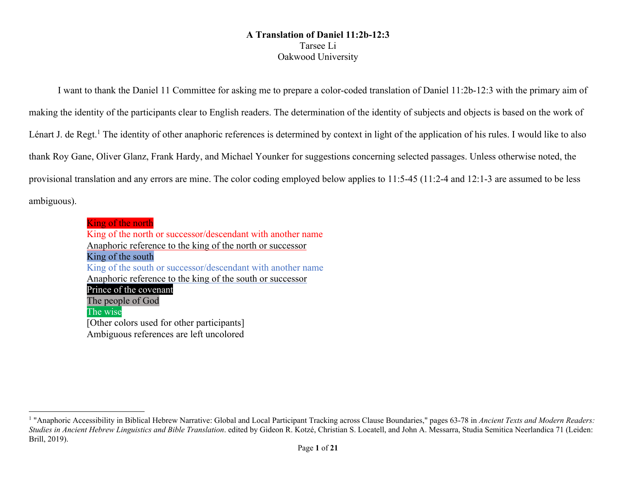## **A Translation of Daniel 11:2b-12:3** Tarsee Li Oakwood University

I want to thank the Daniel 11 Committee for asking me to prepare a color-coded translation of Daniel 11:2b-12:3 with the primary aim of making the identity of the participants clear to English readers. The determination of the identity of subjects and objects is based on the work of Lénart J. de Regt.<sup>1</sup> The identity of other anaphoric references is determined by context in light of the application of his rules. I would like to also thank Roy Gane, Oliver Glanz, Frank Hardy, and Michael Younker for suggestions concerning selected passages. Unless otherwise noted, the provisional translation and any errors are mine. The color coding employed below applies to 11:5-45 (11:2-4 and 12:1-3 are assumed to be less ambiguous).

> King of the north King of the north or successor/descendant with another name Anaphoric reference to the king of the north or successor King of the south King of the south or successor/descendant with another name Anaphoric reference to the king of the south or successor Prince of the covenant The people of God The wise [Other colors used for other participants] Ambiguous references are left uncolored

<sup>&</sup>lt;sup>1</sup> "Anaphoric Accessibility in Biblical Hebrew Narrative: Global and Local Participant Tracking across Clause Boundaries," pages 63-78 in *Ancient Texts and Modern Readers: Studies in Ancient Hebrew Linguistics and Bible Translation*. edited by Gideon R. Kotzé, Christian S. Locatell, and John A. Messarra, Studia Semitica Neerlandica 71 (Leiden: Brill, 2019).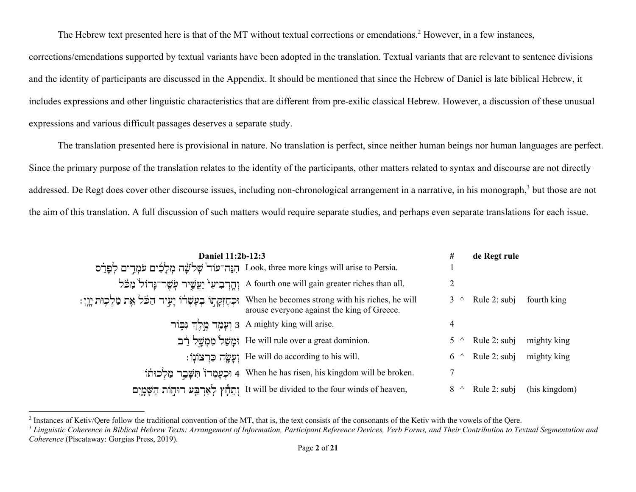The Hebrew text presented here is that of the MT without textual corrections or emendations.<sup>2</sup> However, in a few instances,

corrections/emendations supported by textual variants have been adopted in the translation. Textual variants that are relevant to sentence divisions and the identity of participants are discussed in the Appendix. It should be mentioned that since the Hebrew of Daniel is late biblical Hebrew, it includes expressions and other linguistic characteristics that are different from pre-exilic classical Hebrew. However, a discussion of these unusual expressions and various difficult passages deserves a separate study.

The translation presented here is provisional in nature. No translation is perfect, since neither human beings nor human languages are perfect. Since the primary purpose of the translation relates to the identity of the participants, other matters related to syntax and discourse are not directly addressed. De Regt does cover other discourse issues, including non-chronological arrangement in a narrative, in his monograph,<sup>3</sup> but those are not the aim of this translation. A full discussion of such matters would require separate studies, and perhaps even separate translations for each issue.

| Daniel 11:2b-12:3 |                                                                                                                                                                   | #           | de Regt rule |               |
|-------------------|-------------------------------------------------------------------------------------------------------------------------------------------------------------------|-------------|--------------|---------------|
|                   | הַנֶּה־עוֹד <sup>י</sup> שְׁלֹשָּׁה מִלָלִים עֹמְדֵים לְפַרָס Look, three more kings will arise to Persia.                                                        |             |              |               |
|                   | יְהֶרְבִיעִי יַעֲשֵׁיר עִשָּׁר־נָּדוֹל מִכֹּל A fourth one will gain greater riches than all.                                                                     |             |              |               |
|                   | ון: When he becomes strong with his riches, he will וּכְהֶזְקְתָוֹ בְעָשְׁרֹוֹ יָעֵיר הַכּּׁל אֱת מַלְכִּוּת יְיֵן<br>arouse everyone against the king of Greece. |             | Rule 2: subj | fourth king   |
|                   | ן אֲמָד מֵלֵךְ גִּבְוֹר 3 A mighty king will arise.                                                                                                               | 4           |              |               |
|                   | ימשל ממשל רב He will rule over a great dominion.                                                                                                                  |             | Rule 2: subj | mighty king   |
|                   | : יִעֲשֶׂה כִּרְצוֹנְוֹ He will do according to his will.                                                                                                         | $6^{\circ}$ | Rule 2: subj | mighty king   |
|                   | וּכְעַמְדוֹ חִשֶּׁבֵר מַלְכוּתוֹ 4 When he has risen, his kingdom will be broken.                                                                                 |             |              |               |
|                   | וְחֵדְץ לְאַרְבָּע רוּחָוֹת הַשָּׁמֲיִם It will be divided to the four winds of heaven,                                                                           |             | Rule 2: subj | (his kingdom) |

<sup>&</sup>lt;sup>2</sup> Instances of Ketiv/Qere follow the traditional convention of the MT, that is, the text consists of the consonants of the Ketiv with the vowels of the Qere.

<sup>&</sup>lt;sup>3</sup> Linguistic Coherence in Biblical Hebrew Texts: Arrangement of Information, Participant Reference Devices, Verb Forms, and Their Contribution to Textual Segmentation and *Coherence* (Piscataway: Gorgias Press, 2019).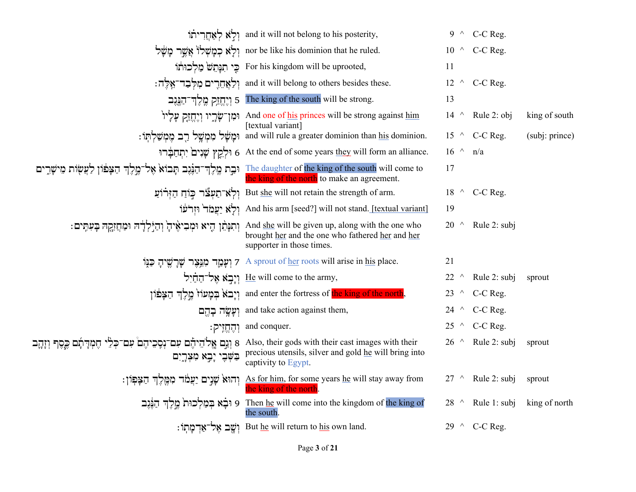|                                                                                                           | in וְלָא לְאָחֲרִיתוֹ and it will not belong to his posterity,                                                                                                                     |                 | $9 \wedge C-C$ Reg.         |                |
|-----------------------------------------------------------------------------------------------------------|------------------------------------------------------------------------------------------------------------------------------------------------------------------------------------|-----------------|-----------------------------|----------------|
|                                                                                                           | יִלְא כְמָשְׁלוֹ אֲשֱר מָשֶׁל אֲמֻיִר נְזִשָּׁל nor be like his dominion that he ruled.                                                                                            |                 | $10 \wedge$ C-C Reg.        |                |
|                                                                                                           | : כֵּי תִנְתֵשׁ er his kingdom will be uprooted,                                                                                                                                   | 11              |                             |                |
|                                                                                                           | : וְלַאֲחֶרִים מִלְּבַד־אֱלֶה; and it will belong to others besides these.                                                                                                         |                 | $12 \wedge$ C-C Reg.        |                |
|                                                                                                           | 5 [יֶחֱזָק מֱלֶךְ־דַגֶּגֶב [עֲרוֹתַה The king of the south will be strong.                                                                                                         | 13              |                             |                |
|                                                                                                           | ימן־שָׂרֶיו וְיָחֱזָק עִלְיוֹ And one of <u>his</u> princes will be strong against <u>him</u><br>[textual variant]                                                                 | $14^{\circ}$    | Rule 2: obj                 | king of south  |
|                                                                                                           | : וְּמָשָׁל מִמְשָׁל בִּב מֵמְשַׁלִתְּוֹ and will rule a greater dominion than his dominion.                                                                                       |                 | 15 $\land$ C-C Reg.         | (subj: prince) |
|                                                                                                           | וּלְקֵץ שָׁנִים יִתְחַבְּרוּ 6 At the end of some years they will form an alliance.                                                                                                | $16 \wedge n/a$ |                             |                |
| וּבַת מֶלֶדְ־הַנֶּׁנֶב תָּבוֹא אֶל־מֶלֶדְ הַצְּפֹוֹן לַעֲשָׂוֹת מֵישָׁרֵים                                | The daughter of the king of the south will come to<br>the king of the north to make an agreement.                                                                                  | 17              |                             |                |
|                                                                                                           | יַלְא־תַעְצٚר כּוֹחַ הַיְרֹוֹעַ But she will not retain the strength of arm.                                                                                                       |                 | 18 $\land$ C-C Reg.         |                |
|                                                                                                           | וְלָא יַעֲמֹד וּזְרֹעּוֹ And his arm [seed?] will not stand. [textual variant]                                                                                                     | 19              |                             |                |
|                                                                                                           | : מִתְהַיְלָלְדָה וּמַחֲזָקֶהּ בְּעִתְּים And <u>she</u> will be given up, along with the one who<br>brought her and the one who fathered her and her<br>supporter in those times. | $20^{\circ}$    | Rule 2: subj                |                |
|                                                                                                           | יִתָּצֵר שְׁרָשֵׁיהָ פַנָּוֹ 7 A sprout of her roots will arise in his place.                                                                                                      | 21              |                             |                |
|                                                                                                           | יִיָּבְא אֱל־הַחַוָל He will come to the army,                                                                                                                                     | $22^{\circ}$    | Rule 2: subj                | sprout         |
|                                                                                                           | ןיְבֹא בְּמָעוֹז מֱלֶךְ הַצָּפֹוֹן and enter the fortress of the king of the north,                                                                                                |                 | 23 $\land$ C-C Reg.         |                |
|                                                                                                           | וְעָשֱה בָהֵם and take action against them,                                                                                                                                        |                 | 24 $\land$ C-C Reg.         |                |
|                                                                                                           | : יְהֶחֱזֶיק $\,$ and conquer.                                                                                                                                                     |                 | 25 $\land$ C-C Reg.         |                |
| B Also, their gods with their cast images with their (וַנָם אֱלֹהֵיהֶם עִם־כְלֵי הֶמְדִתְם כֶּסֶף וְזָהֶב | precious utensils, silver and gold he will bring into<br>captivity to Egypt.                                                                                                       |                 | $26 \text{ A}$ Rule 2: subj | sprout         |
|                                                                                                           | : יְהוּא שָׁנֵים יַעֲמֹד מִמֶּלֶךְ הַצָּפְוֹן As for him, for some years <u>he</u> will stay away from<br>the king of the north                                                    | $27$ ^          | Rule 2: subj                | sprout         |
|                                                                                                           | 9 Then <u>he</u> will come into the kingdom of the king of וּבָא בְּמַלְכוּת מֶלֶךְ הַנֶּנֶב<br>the south.                                                                         | $28^{\circ}$    | Rule 1: subj                | king of north  |
|                                                                                                           | : וֹשֵׁב אֱל־אַדְמַתוֹ But he will return to his own land.                                                                                                                         |                 | 29 $\land$ C-C Reg.         |                |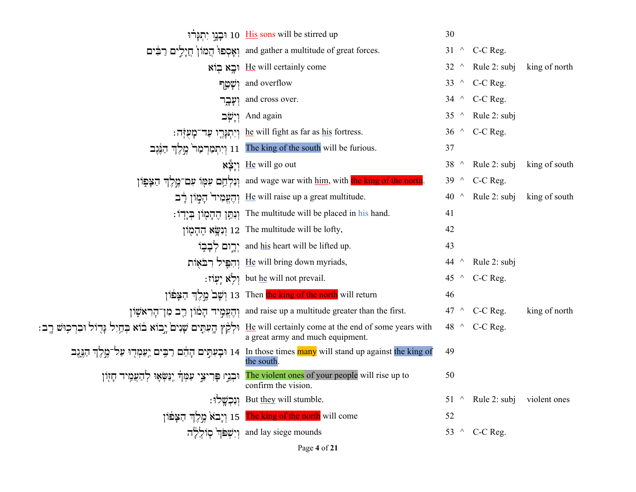|                                                                           | יִתְנַרוּ זוּבָנֵוּ (תַּבְנוּ sons will be stirred up                                                                                                               | 30          |                                       |               |
|---------------------------------------------------------------------------|---------------------------------------------------------------------------------------------------------------------------------------------------------------------|-------------|---------------------------------------|---------------|
|                                                                           | and gather a multitude of great forces. וְאָסְפוּ הֲמוֹן חֲיָלֵים רַבִּים                                                                                           |             | 31 $\land$ C-C Reg.                   |               |
|                                                                           | ring right right right right                                                                                                                                        |             | $32 \wedge$ Rule 2: subj              | king of north |
|                                                                           | יִשָּׁמֵן and overflow                                                                                                                                              |             | 33 $\land$ C-C Reg.                   |               |
| וִעָּבֶר                                                                  | and cross over.                                                                                                                                                     |             | 34 $\land$ C-C Reg.                   |               |
|                                                                           | יִישָׂב And again                                                                                                                                                   |             | 35 ^ Rule 2: subj                     |               |
|                                                                           | : יְיִתְנְרֶך עַד־מָעָזְה he will fight as far as his fortress.                                                                                                     |             | 36 $\land$ C-C Reg.                   |               |
|                                                                           | יִרְתְמַרְמַר מֵלֶךְ הַנֶּנֶב [11] The king of the south will be furious.                                                                                           | 37          |                                       |               |
|                                                                           | re will go out                                                                                                                                                      |             | 38 $\land$ Rule 2: subj king of south |               |
|                                                                           | ן נְלְחֵם עִמְוֹ עִם־מֱלֵךְ הַצָּפְוֹן and wage war with him, with the king of the north.                                                                           |             | 39 $\land$ C-C Reg.                   |               |
|                                                                           | יִהֲעֲמָיד <sup>וֹ</sup> הַמְזוֹן בְּבוֹן He will raise up a great multitude.                                                                                       | 40          | $\wedge$ Rule 2: subj                 | king of south |
|                                                                           | : יִנְתַּן הֱהָמְוֹן בְיָךְוֹ $\;$ The multitude will be placed in his hand.                                                                                        | 41          |                                       |               |
|                                                                           | וְנִשֶּׂא הֱהָמְוֹן 12 The multitude will be lofty,                                                                                                                 | 42          |                                       |               |
|                                                                           | יִרְוֹם לִבְבָוֹ and <u>his</u> heart will be lifted up.                                                                                                            | 43          |                                       |               |
|                                                                           | יִהְפֵּיל רִבֹאָוֹת He will bring down myriads,                                                                                                                     | 44 $\wedge$ | Rule 2: subj                          |               |
|                                                                           | : יִעְוֹז but he will not prevail.                                                                                                                                  |             | 45 $\land$ C-C Reg.                   |               |
|                                                                           | na Then <mark>the king of the north</mark> will return וִשָּׁב <sup>וֹ</sup> מַלֵּךְ הַצָּפֹּוֹן                                                                    | 46          |                                       |               |
| וְהֵעֱמֶיד הַמֹּוֹן רֵב מְן־הַרְאֹשָׁוֹן                                  | and raise up a multitude greater than the first.                                                                                                                    |             | 47 $\land$ C-C Reg.                   | king of north |
| וּלְקֵץ הָעִתָּים שָׁנִים יָבוֹא בוֹא בְּחַיִל נְּדִוֹל וּבִרְכְוּשׁ רֵב: | He will certainly come at the end of some years with<br>a great army and much equipment.                                                                            |             | 48 $\land$ C-C Reg.                   |               |
|                                                                           | י הַגֶּגֶב וַתְּלִה בִעְתִּים הָהֵם רַבְּים יַעַמְדָוּ עַל־קֶלֶךְ הַגֶּגֶב וַעֲלֹךְ זַיְגֶגֶב ( In those times many will stand up against the king of<br>the south. | 49          |                                       |               |
| וּבְגֵיַו פְּרִיצֵי עַמְּךָ יְנַשְׂאָוּ לְהַעֲמֶיד חָזָוֹן                | The violent ones of your people will rise up to<br>confirm the vision.                                                                                              | 50          |                                       |               |
|                                                                           | : וְנִכְשֱלוּ But they will stumble.                                                                                                                                |             | 51 $\land$ Rule 2: subj violent ones  |               |
|                                                                           | The king of the north will come וְיָבֹא מֱלֶךְ הַצָּפֹּוֹן                                                                                                          | 52          |                                       |               |
|                                                                           | and lay siege mounds וְיִשְׁפֹּךְ סְוֹלֵלָה                                                                                                                         |             | 53 $\land$ C-C Reg.                   |               |
|                                                                           |                                                                                                                                                                     |             |                                       |               |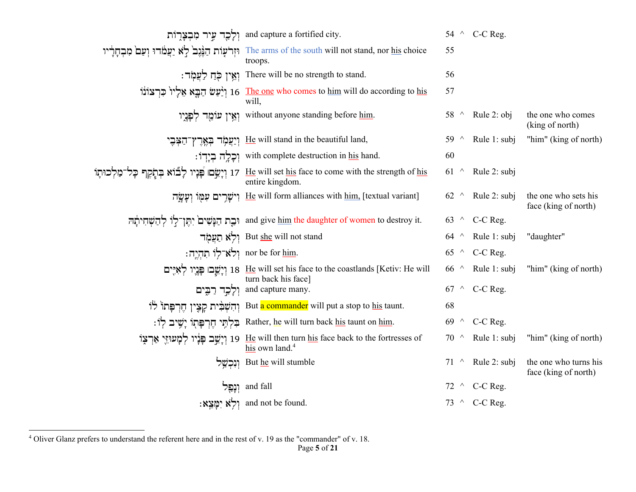|                           | ולְכָר עִיר מִבְצָרְוֹת and capture a fortified city.                                                                                  |              | 54 $\land$ C-C Reg.      |                                               |
|---------------------------|----------------------------------------------------------------------------------------------------------------------------------------|--------------|--------------------------|-----------------------------------------------|
|                           | יוְרֹעָוֹת הַגֶּנֶב <sup>י</sup> לְא יַעֲמֹדוּ יְעַם מִבְחָרָיו The arms of the south will not stand, nor <u>his</u> choice<br>troops. | 55           |                          |                                               |
|                           | : יְאֵין כְּחַ לַעֲמְר There will be no strength to stand.                                                                             | 56           |                          |                                               |
|                           | יל פּרְצוֹנוֹ 16 The one who comes to him will do according to his                                                                     | 57           |                          |                                               |
|                           | יאֵין עוֹמֱד לִפְנָיו without anyone standing before him.                                                                              |              | 58 $\land$ Rule 2: obj   | the one who comes<br>(king of north)          |
|                           | יִיעֲמָׂד בְאֱרֶץ־הַצְּבֶי He will stand in the beautiful land,                                                                        |              | 59 $\land$ Rule 1: subj  | "him" (king of north)                         |
|                           | : וְכָלָה בְיָדְוֹ with complete destruction in his hand.                                                                              | 60           |                          |                                               |
|                           | וּרְיָשָׂם פְּנְיוּ לְבוֹא בִּתְקָף הָל־מַלְכוּתָוֹ 17 He will set his face to come with the strength of his<br>entire kingdom.        | $61^{\circ}$ | Rule 2: subj             |                                               |
|                           | יִישָּׁרִים עִמְוֹ נִעֲשֶׂה He will form alliances with him, [textual variant]                                                         |              | 62 $\land$ Rule 2: subj  | the one who sets his<br>face (king of north)  |
|                           | and give <u>him</u> the daughter of women to destroy it.<br>נִכְת הַנָּשִׁים יִתְּן־לְוֹ לְהַשְׁחִיתָוֹה                               |              | 63 $\land$ C-C Reg.      |                                               |
|                           | יִלְא תַעֲמָד But <u>she</u> will not stand                                                                                            | 64 $\wedge$  | Rule 1: subj             | "daughter"                                    |
| : תְהָיֵה nor be for him. |                                                                                                                                        |              | 65 $\land$ C-C Reg.      |                                               |
|                           | ן יְשֵׁבוּ פְּנְיוֹ 18 He will set his face to the coastlands [Ketiv: He will<br>turn back his face]                                   | $66^{\circ}$ | Rule 1: subj             | "him" (king of north)                         |
|                           | וְלָכָך רַבִּים and capture many.                                                                                                      |              | 67 $\land$ C-C Reg.      |                                               |
|                           | ּוְהִשְׁבִּית קַצֵּין חֻרְפָּתוֹ But a commander will put a stop to his taunt.                                                         | 68           |                          |                                               |
|                           | : בַּלְתֵּי חֵרִפָּתְוֹ יָשֵׁיב לְוֹ Rather, he will turn back his taunt on him.                                                       | 69 $\land$   | C-C Reg.                 |                                               |
|                           | יִצְרָצְוֹ 19 He will then turn his face back to the fortresses of<br>his own land. <sup>4</sup>                                       | $70^{\circ}$ | Rule 1: subj             | "him" (king of north)                         |
|                           | But he will stumble וְנִכְשֵׁל                                                                                                         |              | $71 \wedge$ Rule 2: subj | the one who turns his<br>face (king of north) |
|                           | and fall וְנַפֵּל                                                                                                                      |              | 72 $\land$ C-C Reg.      |                                               |
|                           | :מְצֵא יְמַצֵא nd not be found.                                                                                                        |              | 73 $\land$ C-C Reg.      |                                               |

<sup>4</sup> Oliver Glanz prefers to understand the referent here and in the rest of v. 19 as the "commander" of v. 18.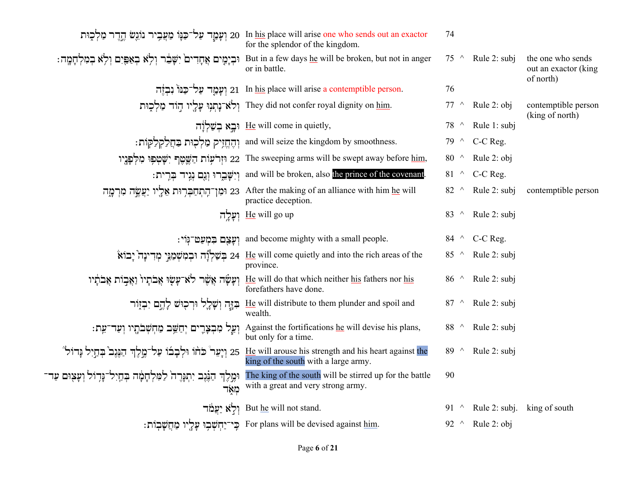|                                                                                   | ות פּוֹלְכָוּת (עַמְעֲבִיר נוֹגְשׂ הָדֶר מַלְכָוּת In his place will arise one who sends out an exactor<br>for the splendor of the kingdom. | 74           |                        |                                                        |
|-----------------------------------------------------------------------------------|---------------------------------------------------------------------------------------------------------------------------------------------|--------------|------------------------|--------------------------------------------------------|
| וּבְיָמֶים אֲחָדִים יִשָּׁבֵר וְלָא בְאַפֵּיִם וְלָא בְמִלְחָמֶה:                 | But in a few days he will be broken, but not in anger<br>or in battle.                                                                      | $75^{\circ}$ | Rule 2: subj           | the one who sends<br>out an exactor (king<br>of north) |
|                                                                                   | רַבְּנוֹ נִבְזֶה 21 In his place will arise a contemptible person.                                                                          | 76           |                        |                                                        |
|                                                                                   | ילא־נָתְנְוּ עָלָיו הְוֹד מַלְכְוּת They did not confer royal dignity on him.                                                               | $77~\wedge$  | Rule 2: obj            | contemptible person<br>(king of north)                 |
|                                                                                   | ri re will come in quietly,                                                                                                                 | $78^{\circ}$ | Rule 1: subj           |                                                        |
|                                                                                   | : וְהָחֱזִיק מַלְכְוּת בַּחֲלַקְלַקְוֹת and will seize the kingdom by smoothness.                                                           | $79^{\circ}$ | C-C Reg.               |                                                        |
|                                                                                   | יִשָּׁטִּפְוּ מִלְפָּנֵיו (22 The sweeping arms will be swept away before <u>him,</u>                                                       | 80 $\land$   | Rule 2: obj            |                                                        |
|                                                                                   | : יִישֶּׁבֵרוּ וְגָם נְגִיד בִּרְית: and will be broken, also the prince of the covenant.                                                   |              | 81 $\land$ C-C Reg.    |                                                        |
| 23 וּמִן־הֶתְחַבְּרִוּת אֵלֶיו יַעֲשֱה מִרְמֶה                                    | After the making of an alliance with him he will<br>practice deception.                                                                     | 82 $\land$   | Rule 2: subj           | contemptible person                                    |
|                                                                                   | יעַלָה He will go up                                                                                                                        | 83 $\wedge$  | Rule 2: subj           |                                                        |
| וִעַצָם בִמְעַט־גִּוֹי:                                                           | and become mighty with a small people.                                                                                                      |              | 84 ^ C-C Reg.          |                                                        |
|                                                                                   | יְבוֹא יִבְמִשְׁמַנֵּי מְדִינָה $24$ He will come quietly and into the rich areas of the<br>province.                                       | 85 $\land$   | Rule 2: subj           |                                                        |
| וְעָשָׂה אֲשֶׁר לֹא־עָשָׂוּ אֲבֹתָיוֹ וַאֲבִוֹת אֲבֹתָויו                         | He will do that which neither his fathers nor his<br>forefathers have done.                                                                 | 86 $\wedge$  | Rule 2: subj           |                                                        |
| فَتَنْكَ لَهُكُمْ نَفْحَنِهَ جُثَنْهَ نَظَنْبِكَ                                  | He will distribute to them plunder and spoil and<br>wealth.                                                                                 | 87 $\wedge$  | Rule 2: subj           |                                                        |
| וְעַל מִבְצָרֶים יְחַשֵּׁב מַחְשְׁבֹתֶיו וְעַד־עֵת:                               | Against the fortifications he will devise his plans,<br>but only for a time.                                                                | 88 $\land$   | Rule 2: subj           |                                                        |
| 25 וְיָעֵר כֹּחֹוֹ וּלְבָבוֹ עַל־מֱלֶךְ הַנֵּגֶב בְּחַיִל נְּדוֹל"                | He will arouse his strength and his heart against the<br>king of the south with a large army.                                               | 89 $\land$   | Rule 2: subj           |                                                        |
| וּמֶלֶךְ הַנֶּנֶב יִתְנְּרֶה לַמִּלְחָמָה בְּחַיִל־נָּדִוֹל וְעָצִוּם עַד־<br>מאד | The king of the south will be stirred up for the battle<br>with a great and very strong army.                                               | 90           |                        |                                                        |
|                                                                                   | יַלְא יַעֲמֹד But he will not stand.                                                                                                        | 91 $\wedge$  | Rule 2: subj.          | king of south                                          |
|                                                                                   | : בְּי־יַחְשָׁבְוּ עָלָיו מַחֲשָׁבְוֹת For plans will be devised against him.                                                               |              | 92 $\land$ Rule 2: obj |                                                        |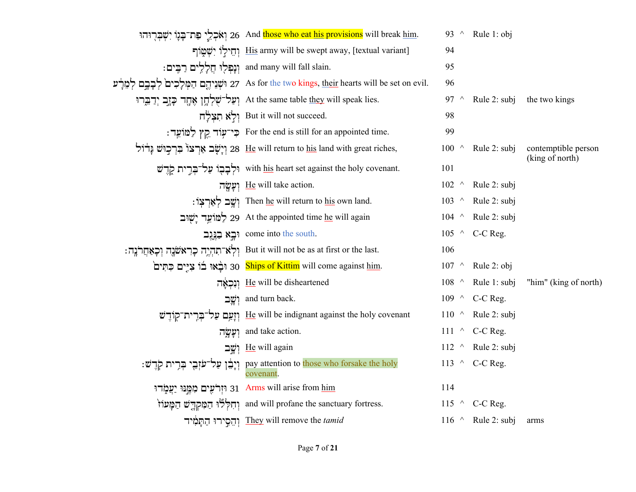| יִשְׁבְּרֶוּהוּ 26 And <mark>those who eat his provisions</mark> will break <u>him</u> .                 | 93 $\wedge$     | Rule 1: obj              |                       |
|----------------------------------------------------------------------------------------------------------|-----------------|--------------------------|-----------------------|
| יִשְׁמֻוֹף His army will be swept away, [textual variant]                                                | 94              |                          |                       |
| : וְנָפְלִוּ חֲלָלִים רַבֵּים and many will fall slain.                                                  | 95              |                          |                       |
| וֹשְנֵיהֶם הַמְּלְכִים לְבְבָם לְמֵרָי 27 As for the two kings, <u>their</u> hearts will be set on evil. | 96              |                          |                       |
| יְעֲלִדְוָן אֶחֶד כְּזָבְ יְדַבְּרוּ At the same table they will speak lies.                             | 97 $\wedge$     | Rule 2: subj             | the two kings         |
| רְלָא תִצְלָח But it will not succeed.                                                                   | 98              |                          |                       |
| י־עָוֹד קֵץ לַמּוֹעֵר For the end is still for an appointed time.                                        | 99              |                          |                       |
| ן יְשָׁב אַרְצוֹ בִרְכְוּשׁ בְּדֹוֹל 28 He will return to his land with great riches,                    | 100<br>$\wedge$ | Rule 2: subj             | contemptible person   |
| with his heart set against the holy covenant.                                                            | 101             |                          | (king of north)       |
| וַעֲשָׂה He will take action.                                                                            | $102$ ^         | Rule 2: subj             |                       |
| : יְשֶׁב לְאַרְצְוֹ Then <u>he</u> will return to his own land.                                          | $103$ ^         | Rule 2: subj             |                       |
| לַמּוֹעֵד יָשָׁוּב 29  At the appointed time <u>he</u> will again                                        | $104$ ^         | Rule 2: subj             |                       |
| come into the south.                                                                                     | $105$ ^         | C-C Reg.                 |                       |
| : יְלְאׁ־תִהְיֶה כְּרְאֹשׁנֶה וְכְאַחֲרֹנֶה But it will not be as at first or the last.                  | 106             |                          |                       |
| 'פְתִּים בִתְים 30 Ships of Kittim will come against <u>him</u> .                                        | $107$ ^         | Rule 2: obj              |                       |
| He will be disheartened וְנִכְאָה                                                                        | $108$ ^         | Rule 1: subj             | "him" (king of north) |
| and turn back.                                                                                           | $109$ ^         | C-C Reg.                 |                       |
| יִזְעֲם עַל־בְּרִית־קֲוֹדֻ־שׁ $\;$ He will be indignant against the holy covenant                        | $110$ ^         | Rule 2: subj             |                       |
| יִעֲשָׂה and take action.                                                                                | $111 \sim$      | C-C Reg.                 |                       |
| יִשֶׁב He will again                                                                                     | $112$ ^         | Rule 2: subj             |                       |
| : יְבְרִית קְרָים pay attention to those who forsake the holy                                            |                 | 113 $\land$ C-C Reg.     |                       |
| וּזְרֹעֵים מִמֱנּוּ יַעֲמָׂדוּ 31 Arms will arise from him                                               | 114             |                          |                       |
| ּוְחִלְלוּ הַמִּקְדֶשׁ הַמָּטוֹז and will profane the sanctuary fortress.                                |                 | 115 $\land$ C-C Reg.     |                       |
| וְהֵסְירוּ הַתְמָיד $\Delta$ They will remove the $tami d$                                               |                 | 116 $\land$ Rule 2: subj | arms                  |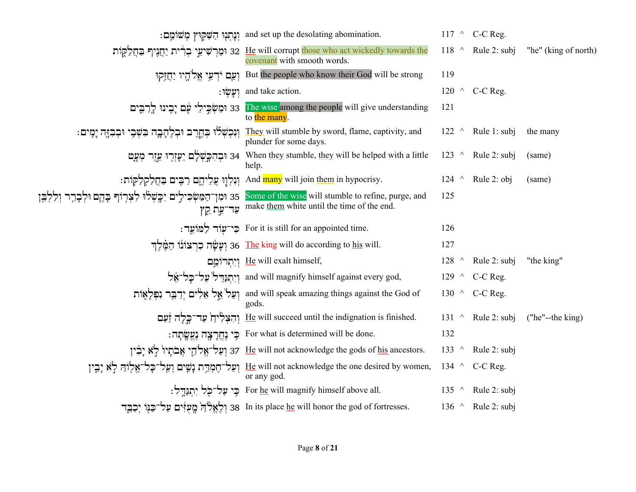|                                                                                                                         | : וְנָתְנָוּ הַשָּׁקְוּץ מְשׁוֹמֵם and set up the desolating abomination.                                                  |             | 117 $\land$ C-C Reg.      |                      |
|-------------------------------------------------------------------------------------------------------------------------|----------------------------------------------------------------------------------------------------------------------------|-------------|---------------------------|----------------------|
|                                                                                                                         | ות יַחֲגָיף בַּחֲלַקֶּוֹת 32 He will corrupt those who act wickedly towards the<br>covenant with smooth words.             | $118$ ^     | Rule 2: subj              | "he" (king of north) |
|                                                                                                                         | יַחֲזָקוּ But the people who know their God will be strong                                                                 | 119         |                           |                      |
|                                                                                                                         | : יִעָּשְׂוּ and take action.                                                                                              |             | 120 $\land$ C-C Reg.      |                      |
| 33 וּמַשְּׂבֵילִי עָם יָבֻינוּ לְרַבִּים                                                                                | The wise among the people will give understanding<br>to the many.                                                          | 121         |                           |                      |
| וְנִכְשְׁלוּ בְחֱרֶב וּבְלֶהָבֶה בִּשְּׁבִי וּבְבִזֶּה יָמִים:                                                          | They will stumble by sword, flame, captivity, and<br>plunder for some days.                                                |             | $122 \wedge$ Rule 1: subj | the many             |
|                                                                                                                         | יִעְזֶרְוּ עֵזֶרְ יִעֲזֶר מִעֲט 34 When <u>they</u> stumble, <u>they</u> will be helped with a little<br>help.             |             | 123 $\land$ Rule 2: subj  | (same)               |
|                                                                                                                         | : וְנִלְוָוּ עֲלֵיהֱם רַבִּים בַּחֲלַקְלַקְוֹת: And <mark>many</mark> will join <u>them</u> in hypocrisy.                  |             | 124 $\land$ Rule 2: obj   | (same)               |
| some of the wise will stumble to refine, purge, and ומן־הַמַּשְׂכִילֵים יִבְשָׁלוּ לִצְרְוֹף בְהֶם וּלְבְרֵר וְלַלְבֵּן | ית קין make them white until the time of the end.                                                                          | 125         |                           |                      |
|                                                                                                                         | : כִּי־עָוֹד לַמּוֹעֵד For it is still for an appointed time.                                                              | 126         |                           |                      |
|                                                                                                                         | יִעָשָׂה כִרְצוֹנוֹ הַמֵּלֵךְ 36 The king will do according to his will.                                                   | 127         |                           |                      |
|                                                                                                                         | ויתרומם He will exalt himself,                                                                                             | $128$ ^     | Rule 2: subj              | "the king"           |
|                                                                                                                         | יִרְתְנַדֵּל עַל־כָּל־אֶל and will magnify himself against every god,                                                      |             | 129 $\land$ C-C Reg.      |                      |
|                                                                                                                         | חַקֲלְאֶוֹת יְדַבֶּר נִפְלְאָוֹת and will speak amazing things against the God of<br>gods.                                 |             | 130 $\land$ C-C Reg.      |                      |
|                                                                                                                         | יְהִצְלְידַן עַר־כָּלָה זַעַם He will succeed until the indignation is finished.                                           |             | 131 $\land$ Rule 2: subj  | ("he"--the king)     |
|                                                                                                                         | וּ For what is determined will be done.                                                                                    | 132         |                           |                      |
|                                                                                                                         | יִבְּין אָבֹתָיוֹ לְא יָבִין 37 $\,$ He will not acknowledge the gods of his ancestors.                                    | 133 $\land$ | Rule 2: subj              |                      |
|                                                                                                                         | יָבִין He will not acknowledge the one desired by women, וְעַל־הָעֲל־כָל־אֱלִוּהַ לַא יָבִין<br>or any god.                |             | 134 $\land$ C-C Reg.      |                      |
|                                                                                                                         | : כֵּי עַל־כָּל יְתִנְדֵל For he will magnify himself above all.                                                           |             | 135 $\land$ Rule 2: subj  |                      |
|                                                                                                                         | 38 In its place <u>he</u> will honor the god of fortresses.<br>38 In its place <u>he</u> will honor the god of fortresses. |             | 136 $\land$ Rule 2: subj  |                      |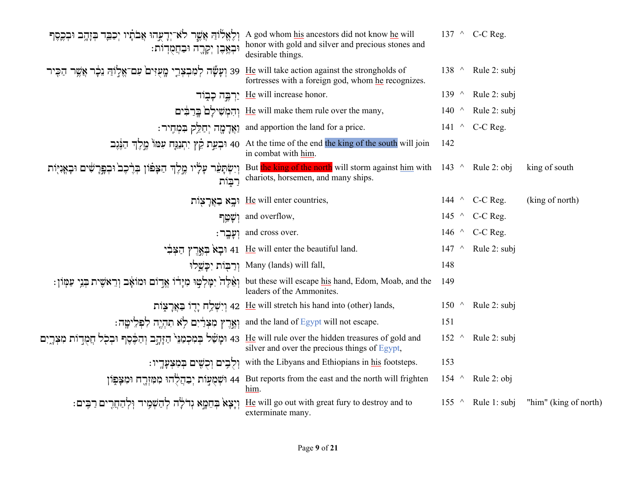| A god whom his ancestors did not know he will מְלֶאֱלֹוָה אֲשֶׁר לֹא־יְדָעֲהוּ אֲבֹתָיו יְכַבֶּד בְּזָהָב וּבְכֶסֶף<br>ּוּבְאֶבֶן יְקָרֶה וּבַחֲמֻדְוֹת: | honor with gold and silver and precious stones and<br>desirable things.                                                                                                                                                                                                   |                 | 137 $\land$ C-C Reg.     |                       |
|----------------------------------------------------------------------------------------------------------------------------------------------------------|---------------------------------------------------------------------------------------------------------------------------------------------------------------------------------------------------------------------------------------------------------------------------|-----------------|--------------------------|-----------------------|
| 39 וְעָשֶּׂה לְמִבְצְרֵי מֱעָזִים עִם־אֱלְוֹהַ גֵכְר אֲשֶׁר הַכִּיר                                                                                      | He will take action against the strongholds of<br>fortresses with a foreign god, whom he recognizes.                                                                                                                                                                      | 138 $\land$     | Rule 2: subj             |                       |
|                                                                                                                                                          | יַרְבֶּה כְּבְוֹד He will increase honor.                                                                                                                                                                                                                                 |                 | 139 $\land$ Rule 2: subj |                       |
|                                                                                                                                                          | יִהְמָשִׁילָם בֵרְבִּים He will make them rule over the many,                                                                                                                                                                                                             | 140 $\land$     | Rule 2: subj             |                       |
|                                                                                                                                                          | : יַחַלֵּק בִּמְחִיר<br>and apportion the land for a price.                                                                                                                                                                                                               |                 | 141 $\land$ C-C Reg.     |                       |
|                                                                                                                                                          | יתְנַגָּח עִמוֹ כֶּוָלֶךְ חַנֶּגֶב At the time of the end the king of the south will join וּבְעֵת קֵץ יִתְנַגָּח עִמוֹ כֶּוָלֶךְ חַנֶּגֶב<br>in combat with him.                                                                                                          | 142             |                          |                       |
| רִבּוֹת                                                                                                                                                  | Fut <mark>the king of the north</mark> will storm against <u>him</u> with   143   ^   Rule 2: obj   إبا بالإبار بالإجاد بالمستما But <mark>the king of the north</mark> will storm against <u>him</u> with   143   ^   Rule 2: obj<br>chariots, horsemen, and many ships. |                 |                          | king of south         |
|                                                                                                                                                          | וּבְא בַאֲרָצָוֹת He will enter countries,                                                                                                                                                                                                                                |                 | 144 $\land$ C-C Reg.     | (king of north)       |
| וִשָּׁטֵר                                                                                                                                                | and overflow,                                                                                                                                                                                                                                                             | 145 $\land$     | C-C Reg.                 |                       |
| ּוִעָּבֶר:                                                                                                                                               | and cross over.                                                                                                                                                                                                                                                           |                 | 146 $\land$ C-C Reg.     |                       |
|                                                                                                                                                          | יִבְאֹ בִּאֲרֵץ הַצִּבְי 41 He will enter the beautiful land.                                                                                                                                                                                                             | 147<br>$\wedge$ | Rule 2: subj             |                       |
|                                                                                                                                                          | יִרֲבָּוֹת יִכַּשֵּׁלוּ Many (lands) will fall,                                                                                                                                                                                                                           | 148             |                          |                       |
| וְאֵלֶה יִמְלְטַוּ מִיָּדוֹ אֱדַוֹם וּמוֹאָב וְרֵאשִׁית בְּגֵי עַמְוֹן:                                                                                  | but these will escape his hand, Edom, Moab, and the<br>leaders of the Ammonites.                                                                                                                                                                                          | 149             |                          |                       |
|                                                                                                                                                          | יִדְוֹ בַאֲרָצְוֹת 42 $\,$ He will stretch his hand into (other) lands,                                                                                                                                                                                                   | $150$ ^         | Rule 2: subj             |                       |
|                                                                                                                                                          | : וְאֱרֵץ מִצְרַׂיִם לְא תִהְיֶה לִפְלֵישֶה and the land of Egypt will not escape.                                                                                                                                                                                        | 151             |                          |                       |
| 43 וּמָשַׁל בְּמִכְמַנֵּי הַזָּהֶב וְהַכֶּ֫סֶף וּבְכָל חֲמֻדָוֹת מִצְרֶיִם                                                                               | He will rule over the hidden treasures of gold and<br>silver and over the precious things of Egypt,                                                                                                                                                                       | 152<br>$\wedge$ | Rule 2: subj             |                       |
|                                                                                                                                                          | : וְלָבִים וְכָשִׁים בִּמְצִעָּדְיו with the Libyans and Ethiopians in his footsteps.                                                                                                                                                                                     | 153             |                          |                       |
|                                                                                                                                                          | ן וּמִאֲכְוֹת יְבַהֲלָהוּ מִמְזְרֶח וּמִצְפִוֹן 44 But reports from the east and the north will frighten<br>him.                                                                                                                                                          | $154$ ^         | Rule 2: obj              |                       |
| וְיָצָא בְחֵמָא גְדֹלָה לְהַשְׁמִיד וְלְהַחֲרִים רַבְּים:                                                                                                | He will go out with great fury to destroy and to<br>exterminate many.                                                                                                                                                                                                     | $155$ ^         | Rule 1: subj             | "him" (king of north) |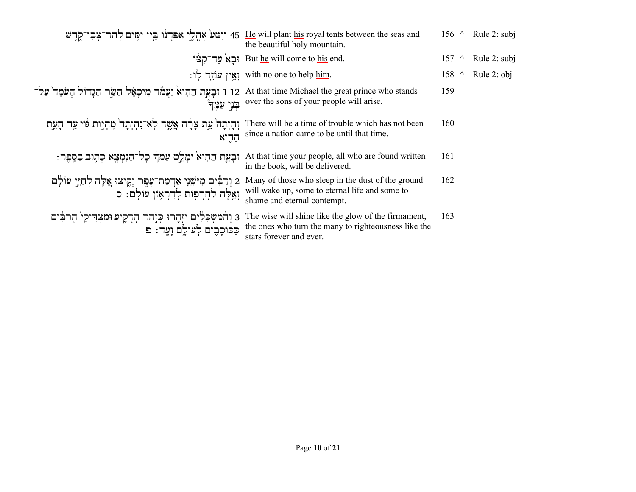|                                                                                                                  | יִיטַּע אָהֱלֶי אַפִּרְנוֹ בֵין יַמָּים לְהַר־צְבִי־קֶדֶשׁ 45 He will plant his royal tents between the seas and<br>the beautiful holy mountain. | $156$ ^ |           | Rule 2: subj |
|------------------------------------------------------------------------------------------------------------------|--------------------------------------------------------------------------------------------------------------------------------------------------|---------|-----------|--------------|
|                                                                                                                  | ie אַד־קְצּוֹ But he will come to his end,                                                                                                       | 157     | $\wedge$  | Rule 2: subj |
|                                                                                                                  | : יְאֵין עוֹזֵר לְוֹ with no one to help him.                                                                                                    | 158     | $\lambda$ | Rule 2: obj  |
| 1 12 וּבָעֵת הַהִיאْ יַעֲמֹד מִיכָאֵל הַשֵּׂר הַנְּדוֹל הָעֹמֵד עַל־<br>ּבּנֵי עַמֵּךְ                           | At that time Michael the great prince who stands<br>over the sons of your people will arise.                                                     | 159     |           |              |
| וְהָיְתָהֹ אֵת צָלָה אֲשֶׁר לְאֹ־נִהְיְתָהֹ מֶהְיָוֹת וּוֹי עַר הָעֵת<br>הַהְיֹא                                 | There will be a time of trouble which has not been<br>since a nation came to be until that time.                                                 | 160     |           |              |
| וּבְעֵת הַהִיאֹ יִמָּלֵט עַמְךֹּ כָּל־הַנִּמְצָא כָּתְוּב בַּסֵפֶר :                                             | At that time your people, all who are found written<br>in the book, will be delivered.                                                           | 161     |           |              |
| 2 וְרַבִּים מִיְשֵׁנֵי אַדְמַת־עָפֶר יָקִיצוּ אֵלֶה לְחַיֵּי עוֹלָם<br>וְאֵלֶה לַחֲרָפִוֹת לְדִרְאָוֹן עוֹלֵם: ס | Many of those who sleep in the dust of the ground<br>will wake up, some to eternal life and some to<br>shame and eternal contempt.               | 162     |           |              |
| ּ3 וְהַׂמַּשְׂכִלִים יַזְהֶרוּ כְּזָהַר הָרָקִיעַ וּמַצְדִּיקִי הָרַבִּים<br>כַכּוֹכָבִים לְעוֹלֵם וָעֱד: פ      | The wise will shine like the glow of the firmament,<br>the ones who turn the many to righteousness like the<br>stars forever and ever.           | 163     |           |              |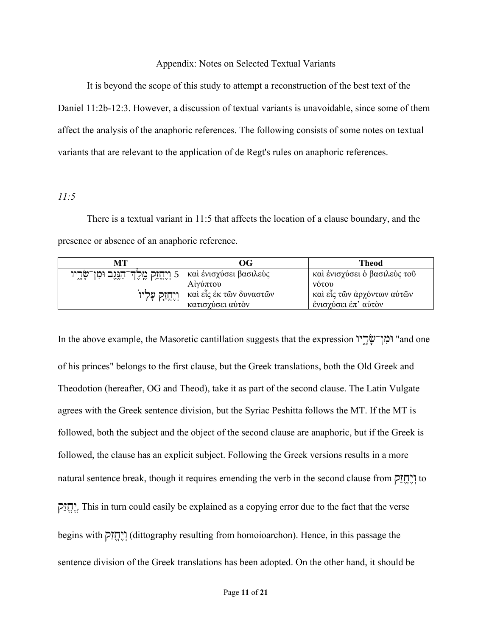#### Appendix: Notes on Selected Textual Variants

 It is beyond the scope of this study to attempt a reconstruction of the best text of the Daniel 11:2b-12:3. However, a discussion of textual variants is unavoidable, since some of them affect the analysis of the anaphoric references. The following consists of some notes on textual variants that are relevant to the application of de Regt's rules on anaphoric references.

#### *11:5*

There is a textual variant in 11:5 that affects the location of a clause boundary, and the presence or absence of an anaphoric reference.

| MТ                                                                    | ОG                      | <b>Theod</b>                 |
|-----------------------------------------------------------------------|-------------------------|------------------------------|
| s   καὶ ἐνισχύσει βασιλεὺς   נֻיְחֱזָק מֶלֶדְ־הַגֶּגֶב וּמִן־שָּׂרָיו |                         | καὶ ἐνισχύσει ὁ βασιλεὺς τοῦ |
|                                                                       | Αίγύπτου                | <b>VOTOU</b>                 |
| וְיֶחֱזַק עָלְיוֹ                                                     | καὶ εἶς ἐκ τῶν δυναστῶν | καὶ εἶς τῶν ἀρχόντων αὐτῶν   |
|                                                                       | κατισχύσει αυτόν        | ένισχύσει έπ' αύτον          |

In the above example, the Masoretic cantillation suggests that the expression רְמִן־שָֽׂךָיוּ "and one" of his princes" belongs to the first clause, but the Greek translations, both the Old Greek and Theodotion (hereafter, OG and Theod), take it as part of the second clause. The Latin Vulgate agrees with the Greek sentence division, but the Syriac Peshitta follows the MT. If the MT is followed, both the subject and the object of the second clause are anaphoric, but if the Greek is followed, the clause has an explicit subject. Following the Greek versions results in a more natural sentence break, though it requires emending the verb in the second clause from זקַחֱ יֶוְ to זקַחֱ יְֶ. This in turn could easily be explained as a copying error due to the fact that the verse begins with זקַחֱ יֶוְ) dittography resulting from homoioarchon). Hence, in this passage the sentence division of the Greek translations has been adopted. On the other hand, it should be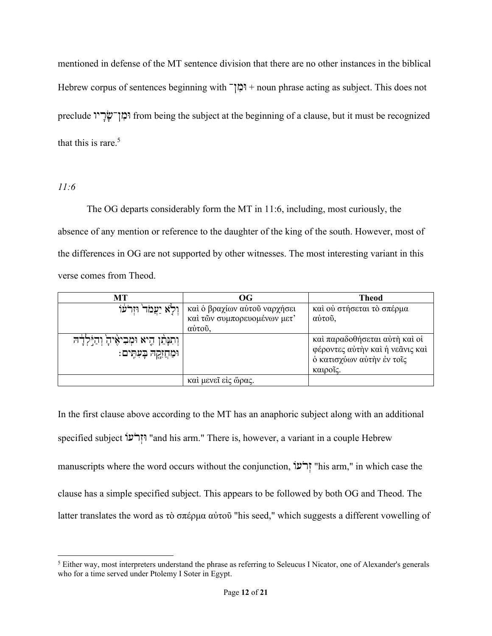mentioned in defense of the MT sentence division that there are no other instances in the biblical Hebrew corpus of sentences beginning with Čוּמןִ + noun phrase acting as subject. This does not preclude וּמָן־שׂׂূ from being the subject at the beginning of a clause, but it must be recognized that this is rare. $5$ 

## *11:6*

 The OG departs considerably form the MT in 11:6, including, most curiously, the absence of any mention or reference to the daughter of the king of the south. However, most of the differences in OG are not supported by other witnesses. The most interesting variant in this verse comes from Theod.

| MТ                                                                   | $\overline{\textbf{O}}$                                               | <b>Theod</b>                                                                                              |
|----------------------------------------------------------------------|-----------------------------------------------------------------------|-----------------------------------------------------------------------------------------------------------|
| וְלָא יַעֲמֹד וּזְדֹעוֹ                                              | καὶ ὁ βραχίων αὐτοῦ ναρχήσει<br>καί τῶν συμπορευομένων μετ'<br>αύτου, | καί ού στήσεται τὸ σπέρμα<br>αύτου,                                                                       |
| וְהִנְּהֵן הָיא וּמְבִיאָיהָ וְהַיַּלְדָה<br>וּמַחֲזָקָהּ בָעִתְּים: |                                                                       | καί παραδοθήσεται αύτη καί οί<br>φέροντες αύτην και ή νεάνις και<br>ο κατισχύων αύτην έν τοίς<br>καιροΐς. |
|                                                                      | καί μενεῖ είς ὥρας.                                                   |                                                                                                           |

In the first clause above according to the MT has an anaphoric subject along with an additional specified subject żרעֹ זְוּ" and his arm." There is, however, a variant in a couple Hebrew manuscripts where the word occurs without the conjunction, זְרֹעוֹ "his arm," in which case the clause has a simple specified subject. This appears to be followed by both OG and Theod. The latter translates the word as τὸ σπέρμα αὐτοῦ "his seed," which suggests a different vowelling of

 $<sup>5</sup>$  Either way, most interpreters understand the phrase as referring to Seleucus I Nicator, one of Alexander's generals</sup> who for a time served under Ptolemy I Soter in Egypt.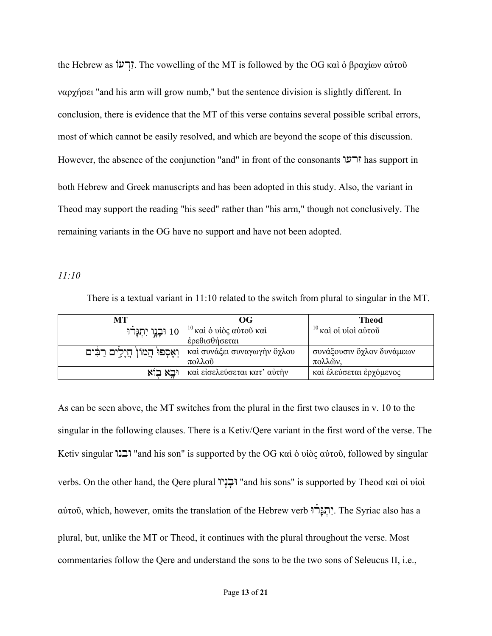the Hebrew as żרעְזַ. The vowelling of the MT is followed by the OG καὶ ὁ βραχίων αὐτοῦ ναρχήσει "and his arm will grow numb," but the sentence division is slightly different. In conclusion, there is evidence that the MT of this verse contains several possible scribal errors, most of which cannot be easily resolved, and which are beyond the scope of this discussion. However, the absence of the conjunction "and" in front of the consonants זרעו has support in both Hebrew and Greek manuscripts and has been adopted in this study. Also, the variant in Theod may support the reading "his seed" rather than "his arm," though not conclusively. The remaining variants in the OG have no support and have not been adopted.

*11:10*

There is a textual variant in 11:10 related to the switch from plural to singular in the MT.

| MТ                                | OG                            | <b>Theod</b>              |
|-----------------------------------|-------------------------------|---------------------------|
| 10 וּבָנֶן יִתְגָּרוּ             | $^{-10}$ καὶ ὁ υἱὸς αὐτοῦ καὶ | $10$ καὶ οἱ υἱοὶ αὐτοῦ    |
|                                   | έρεθισθήσεται                 |                           |
| וְאָסְפוּ הֲמוֹן חֲיָלִים רַבִּים | και συνάξει συναγωγήν ὄχλου   | συνάξουσιν όχλον δυνάμεων |
|                                   | πολλοῦ                        | πολλών,                   |
| וּבא בוֹא                         | καί είσελεύσεται κατ' αύτην   | καὶ ἐλεύσεται ἐρχόμενος   |

As can be seen above, the MT switches from the plural in the first two clauses in v. 10 to the singular in the following clauses. There is a Ketiv/Qere variant in the first word of the verse. The Ketiv singular ובנו" and his son" is supported by the OG καὶ ὁ υἱὸς αὐτοῦ, followed by singular verbs. On the other hand, the Qere plural ניוָוּבָ" and his sons" is supported by Theod καὶ οἱ υἱοὶ αὐτοῦ, which, however, omits the translation of the Hebrew verb רוּæ גָּתְ יִ. The Syriac also has a plural, but, unlike the MT or Theod, it continues with the plural throughout the verse. Most commentaries follow the Qere and understand the sons to be the two sons of Seleucus II, i.e.,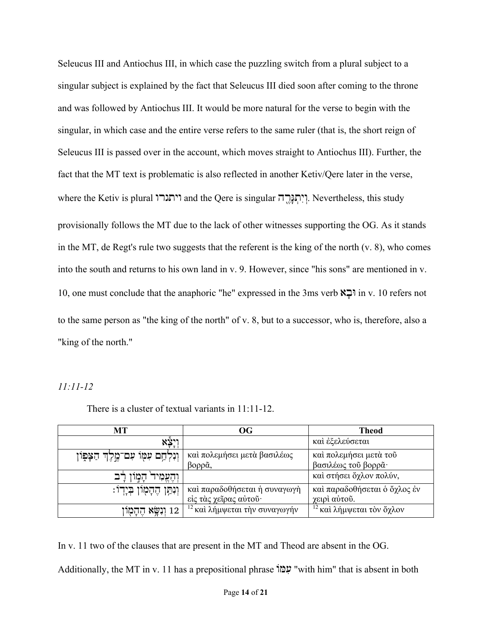Seleucus III and Antiochus III, in which case the puzzling switch from a plural subject to a singular subject is explained by the fact that Seleucus III died soon after coming to the throne and was followed by Antiochus III. It would be more natural for the verse to begin with the singular, in which case and the entire verse refers to the same ruler (that is, the short reign of Seleucus III is passed over in the account, which moves straight to Antiochus III). Further, the fact that the MT text is problematic is also reflected in another Ketiv/Qere later in the verse, where the Ketiv is plural ויתגרו and the Qere is singular רהåֶגָּתְ יִוְ. Nevertheless, this study provisionally follows the MT due to the lack of other witnesses supporting the OG. As it stands in the MT, de Regt's rule two suggests that the referent is the king of the north (v. 8), who comes into the south and returns to his own land in v. 9. However, since "his sons" are mentioned in v. 10, one must conclude that the anaphoric "he" expressed in the 3ms verb וּבאָ in v. 10 refers not to the same person as "the king of the north" of v. 8, but to a successor, who is, therefore, also a "king of the north."

#### *11:11-12*

| МT                                       | $\overline{\text{OG}}$                   | <b>Theod</b>                         |
|------------------------------------------|------------------------------------------|--------------------------------------|
| <u>יִי</u> צָא                           |                                          | καὶ ἐξελεύσεται                      |
| וַנִּלְחָם עִמָּוֹ עִם־מֱלֶךְ הַצָּפִוֹן | καί πολεμήσει μετά βασιλέως              | καί πολεμήσει μετά του               |
|                                          | $β$ ορρ $\tilde{a}$ ,                    | βασιλέως του βορρά·                  |
| ּהַמְוּן רַב<br>וְהֶצֶמִיד               |                                          | καί στήσει ὄχλον πολύν,              |
| וְנִתַּן הֶהָמָוֹן בְּיָדוֹ:             | και παραδοθήσεται ή συναγωγή             | και παραδοθήσεται ο όχλος έν         |
|                                          | είς τας χείρας αύτου·                    | γειρί αύτου.                         |
| 12 וִנְשָׂא הֶהָמָוז                     | <sup>12</sup> καὶ λήμψεται τὴν συναγωγήν | <sup>12</sup> καὶ λήμψεται τὸν ὄχλον |

There is a cluster of textual variants in 11:11-12.

In v. 11 two of the clauses that are present in the MT and Theod are absent in the OG.

Additionally, the MT in v. 11 has a prepositional phrase żעמִּ" with him" that is absent in both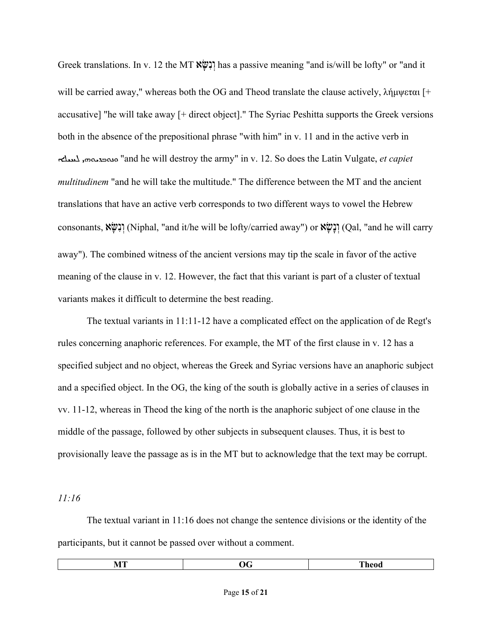Greek translations. In v. 12 the MT שּׂאָ נִוְ has a passive meaning "and is/will be lofty" or "and it will be carried away," whereas both the OG and Theod translate the clause actively, λήμψεται [+ accusative] "he will take away [+ direct object]." The Syriac Peshitta supports the Greek versions both in the absence of the prepositional phrase "with him" in v. 11 and in the active verb in āÙÐß ܗܝÍØÊܒÍåܘ" and he will destroy the army" in v. 12. So does the Latin Vulgate, *et capiet multitudinem* "and he will take the multitude." The difference between the MT and the ancient translations that have an active verb corresponds to two different ways to vowel the Hebrew consonants, וְנִשָּׂא (Niphal, "and it/he will be lofty/carried away") or יְנִשְׂא (Qal, "and he will carry away"). The combined witness of the ancient versions may tip the scale in favor of the active meaning of the clause in v. 12. However, the fact that this variant is part of a cluster of textual variants makes it difficult to determine the best reading.

The textual variants in 11:11-12 have a complicated effect on the application of de Regt's rules concerning anaphoric references. For example, the MT of the first clause in v. 12 has a specified subject and no object, whereas the Greek and Syriac versions have an anaphoric subject and a specified object. In the OG, the king of the south is globally active in a series of clauses in vv. 11-12, whereas in Theod the king of the north is the anaphoric subject of one clause in the middle of the passage, followed by other subjects in subsequent clauses. Thus, it is best to provisionally leave the passage as is in the MT but to acknowledge that the text may be corrupt.

*11:16*

The textual variant in 11:16 does not change the sentence divisions or the identity of the participants, but it cannot be passed over without a comment.

| MT | -<br>JG | m<br>- neoo |
|----|---------|-------------|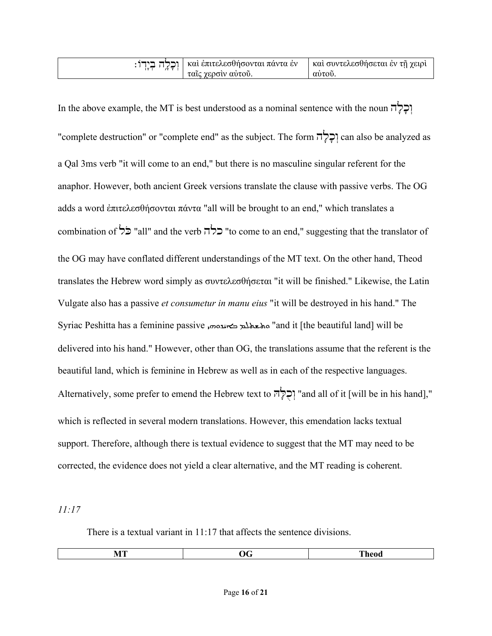| καὶ ἐπιτελεσθήσονται πάντα ἐν | η καὶ συντελεσθήσεται έν τῇ χειρι |
|-------------------------------|-----------------------------------|
| ταις γερσίν αύτου.            | αυτου.                            |

In the above example, the MT is best understood as a nominal sentence with the noun  $\vec{\Pi}$ "complete destruction" or "complete end" as the subject. The form וְכָלְה can also be analyzed as a Qal 3ms verb "it will come to an end," but there is no masculine singular referent for the anaphor. However, both ancient Greek versions translate the clause with passive verbs. The OG adds a word ἐπιτελεσθήσονται πάντα "all will be brought to an end," which translates a combination of כלה "all" and the verb כלה" to come to an end," suggesting that the translator of the OG may have conflated different understandings of the MT text. On the other hand, Theod translates the Hebrew word simply as συντελεσθήσεται "it will be finished." Likewise, the Latin Vulgate also has a passive *et consumetur in manu eius* "it will be destroyed in his hand." The Syriac Peshitta has a feminine passive معلم ديمتيومي, "and it [the beautiful land] will be delivered into his hand." However, other than OG, the translations assume that the referent is the beautiful land, which is feminine in Hebrew as well as in each of the respective languages. Alternatively, some prefer to emend the Hebrew text to  $\vec{r}$ רְלְהְ "and all of it [will be in his hand]," which is reflected in several modern translations. However, this emendation lacks textual support. Therefore, although there is textual evidence to suggest that the MT may need to be corrected, the evidence does not yield a clear alternative, and the MT reading is coherent.

*11:17*

There is a textual variant in 11:17 that affects the sentence divisions.

| -<br>___ |
|----------|
|----------|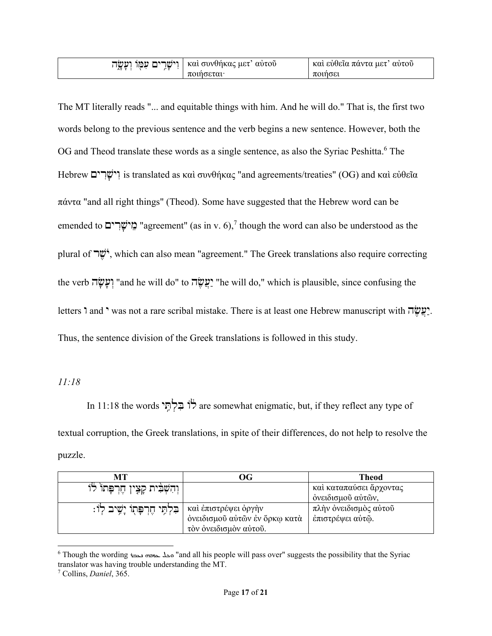| וישרים עמו    | καί συνθήκας μετ΄ | καί εύθεια πάντα μετ΄ |
|---------------|-------------------|-----------------------|
| ועשה          | αυτου             | αύτου                 |
| $\lambda$ T T | ποιησεται         | ποιησει               |

The MT literally reads "... and equitable things with him. And he will do." That is, the first two words belong to the previous sentence and the verb begins a new sentence. However, both the OG and Theod translate these words as a single sentence, as also the Syriac Peshitta.<sup>6</sup> The Hebrew וִישָׂרִים is translated as καὶ συνθήκας "and agreements/treaties" (OG) and καὶ εὐθεῖα πάντα "and all right things" (Theod). Some have suggested that the Hebrew word can be emended to **מֵישָׂרִים** "agreement" (as in v. 6),<sup>7</sup> though the word can also be understood as the plural of שׁרֶ יֹ , which can also mean "agreement." The Greek translations also require correcting the verb שׂהָ עָ וְ" and he will do" to שׂהֶ עֲיַ" he will do," which is plausible, since confusing the letters ' and ' was not a rare scribal mistake. There is at least one Hebrew manuscript with " Thus, the sentence division of the Greek translations is followed in this study.

*11:18*

In 11:18 the words תּיóִלְ בִּ żלã are somewhat enigmatic, but, if they reflect any type of textual corruption, the Greek translations, in spite of their differences, do not help to resolve the puzzle.

| MТ                                      | OG                            | Theod                   |
|-----------------------------------------|-------------------------------|-------------------------|
| ' וְהִשְׁבִּית קָצָין חֶרְפְּתוֹ לוֹ    |                               | και καταπαύσει άρχοντας |
|                                         |                               | όνειδισμού αύτών,       |
| וֹ:   הַלְתֵּי חֶרְפָּתְוֹ יָשֶׁיב לְוֹ |                               | πλήν όνειδισμός αύτοῦ   |
|                                         | όνειδισμοῦ αὐτῶν ἐν ὅρκω κατὰ | έπιστρέψει αύτώ.        |
|                                         | τον ονειδισμον αύτου.         |                         |

 $^6$  Though the wording محله حمی دی "and all his people will pass over" suggests the possibility that the Syriac translator was having trouble understanding the MT.

<sup>7</sup> Collins, *Daniel*, 365.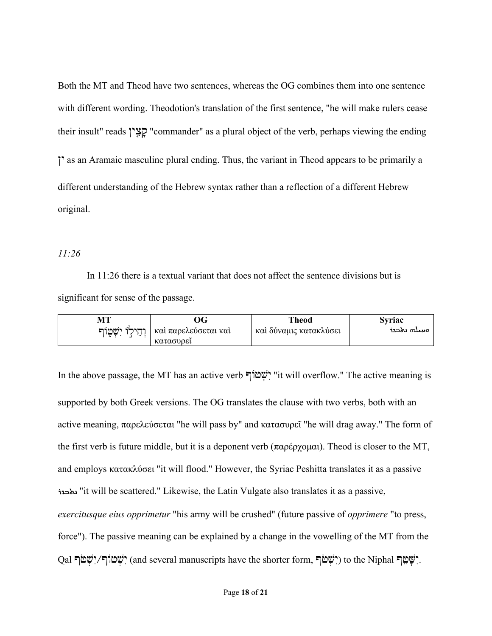Both the MT and Theod have two sentences, whereas the OG combines them into one sentence with different wording. Theodotion's translation of the first sentence, "he will make rulers cease their insult" reads קָצָין "commander" as a plural object of the verb, perhaps viewing the ending ין as an Aramaic masculine plural ending. Thus, the variant in Theod appears to be primarily a different understanding of the Hebrew syntax rather than a reflection of a different Hebrew original.

## *11:26*

In 11:26 there is a textual variant that does not affect the sentence divisions but is significant for sense of the passage.

| МT                      | ЭG                                | <b>Theod</b>           | svriac      |
|-------------------------|-----------------------------------|------------------------|-------------|
| וחילו ישטוף<br>$\cdots$ | καί παρελεύσεται και<br>κατασυρει | καί δύναμις κατακλυσει | ەبىيلە بەدد |

In the above passage, the MT has an active verb ףżשׁטְ יִ" it will overflow." The active meaning is supported by both Greek versions. The OG translates the clause with two verbs, both with an active meaning, παρελεύσεται "he will pass by" and κατασυρεῖ "he will drag away." The form of the first verb is future middle, but it is a deponent verb (παρέρχομαι). Theod is closer to the MT, and employs κατακλύσει "it will flood." However, the Syriac Peshitta translates it as a passive <sup>1</sup>it will be scattered." Likewise, the Latin Vulgate also translates it as a passive, *exercitusque eius opprimetur* "his army will be crushed" (future passive of *opprimere* "to press, force"). The passive meaning can be explained by a change in the vowelling of the MT from the Qal יִשְׁטוֹף (and several manuscripts have the shorter form, יִשָּׁטוֹף (ְיָשׁטֹּךְ (ְיִשְׁטֹּךְ יִ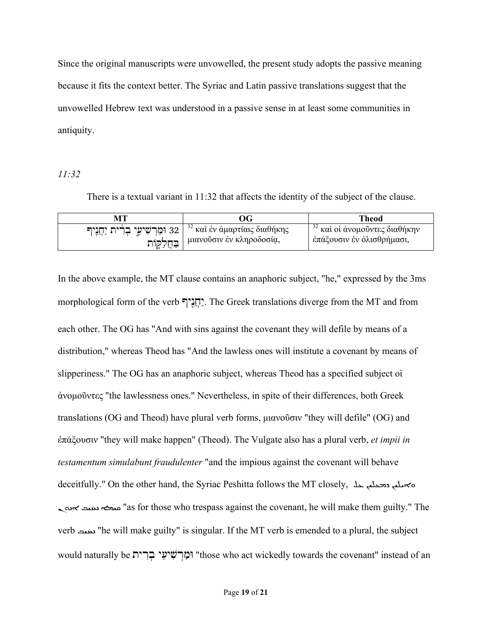Since the original manuscripts were unvowelled, the present study adopts the passive meaning because it fits the context better. The Syriac and Latin passive translations suggest that the unvowelled Hebrew text was understood in a passive sense in at least some communities in antiquity.

*11:32*

There is a textual variant in 11:32 that affects the identity of the subject of the clause.

|                                  | ЭG                                      | Theod                           |
|----------------------------------|-----------------------------------------|---------------------------------|
| 32 וּמַרְשִׁיאֵי בְרִית יַחֲנִיף | <sup>32</sup> καὶ ἐν ἁμαρτίαις διαθήκης | $32$ και οι άνομοῦντες διαθήκην |
| בַּחֲלַקֶּוֹת                    | μιανοῦσιν ἐν κληροδοσία,                | έπάξουσιν έν όλισθρήμασι,       |

In the above example, the MT clause contains an anaphoric subject, "he," expressed by the 3ms morphological form of the verb ניףåִחֲ יַ. The Greek translations diverge from the MT and from each other. The OG has "And with sins against the covenant they will defile by means of a distribution," whereas Theod has "And the lawless ones will institute a covenant by means of slipperiness." The OG has an anaphoric subject, whereas Theod has a specified subject οἱ ἀνομοῦντες "the lawlessness ones." Nevertheless, in spite of their differences, both Greek translations (OG and Theod) have plural verb forms, μιανοῦσιν "they will defile" (OG) and ἐπάξουσιν "they will make happen" (Theod). The Vulgate also has a plural verb, *et impii in testamentum simulabunt fraudulenter* "and the impious against the covenant will behave deceitfully." On the other hand, the Syriac Peshitta follows the MT closely, مسلم متحطم حد م ׇׇ֦ׅ֝֓֡ له بنيت ܐنه "as for those who trespass against the covenant, he will make them guilty." The verb سند "he will make guilty" is singular. If the MT verb is emended to a plural, the subject would naturally be וֹמַרִשִׁיעֵי בְרִית "those who act wickedly towards the covenant" instead of an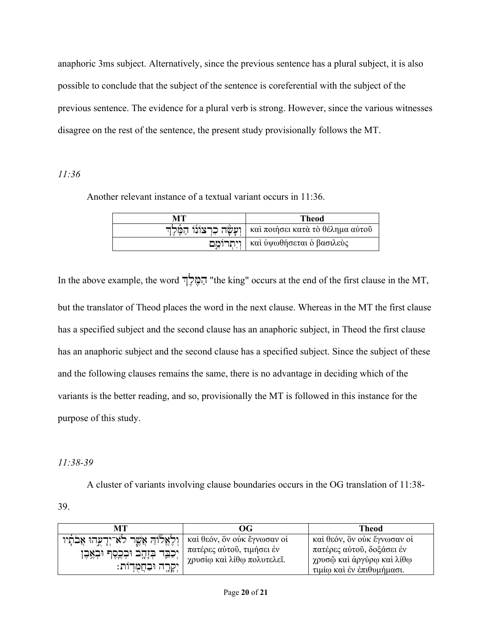anaphoric 3ms subject. Alternatively, since the previous sentence has a plural subject, it is also possible to conclude that the subject of the sentence is coreferential with the subject of the previous sentence. The evidence for a plural verb is strong. However, since the various witnesses disagree on the rest of the sentence, the present study provisionally follows the MT.

## *11:36*

Another relevant instance of a textual variant occurs in 11:36.

| MТ                  | Theod                            |
|---------------------|----------------------------------|
| ועשׂה כרצונו המֹלִד | καὶ ποιήσει κατὰ τὸ θέλημα αὐτοῦ |
| ויתרומם             | καὶ ὑψωθήσεται ὁ βασιλεὺς        |

In the above example, the word ךְלֶ מֶּ הַ" the king" occurs at the end of the first clause in the MT, but the translator of Theod places the word in the next clause. Whereas in the MT the first clause has a specified subject and the second clause has an anaphoric subject, in Theod the first clause has an anaphoric subject and the second clause has a specified subject. Since the subject of these and the following clauses remains the same, there is no advantage in deciding which of the variants is the better reading, and so, provisionally the MT is followed in this instance for the purpose of this study.

# *11:38-39*

39.

A cluster of variants involving clause boundaries occurs in the OG translation of 11:38-

| MТ                                                                                                           | OG                                                                                     | <b>Theod</b>                                                                                                       |
|--------------------------------------------------------------------------------------------------------------|----------------------------------------------------------------------------------------|--------------------------------------------------------------------------------------------------------------------|
| וְלֶאֱלֹוֹהַ אֲשֱר לֹא־יְדָעֲהוּ אֲבֹתָיו<br>יְכַבֵּד בְּזָהָב וּבְכֶסֶף וּבְאֶבֶן<br>יִקְרֶה וּבַחֲמֻדְוֹת: | καί θεόν, ὃν ούκ ἔγνωσαν οί<br>πατέρες αύτοῦ, τιμήσει έν<br>χρυσίω καὶ λίθω πολυτελεῖ. | καί θεόν, ὃν οὐκ ἔγνωσαν οἱ<br>πατέρες αύτοῦ, δοξάσει έν<br>χρυσῷ καὶ ἀργύρῳ καὶ λίθῳ<br>τιμίω και έν έπιθυμήμασι. |